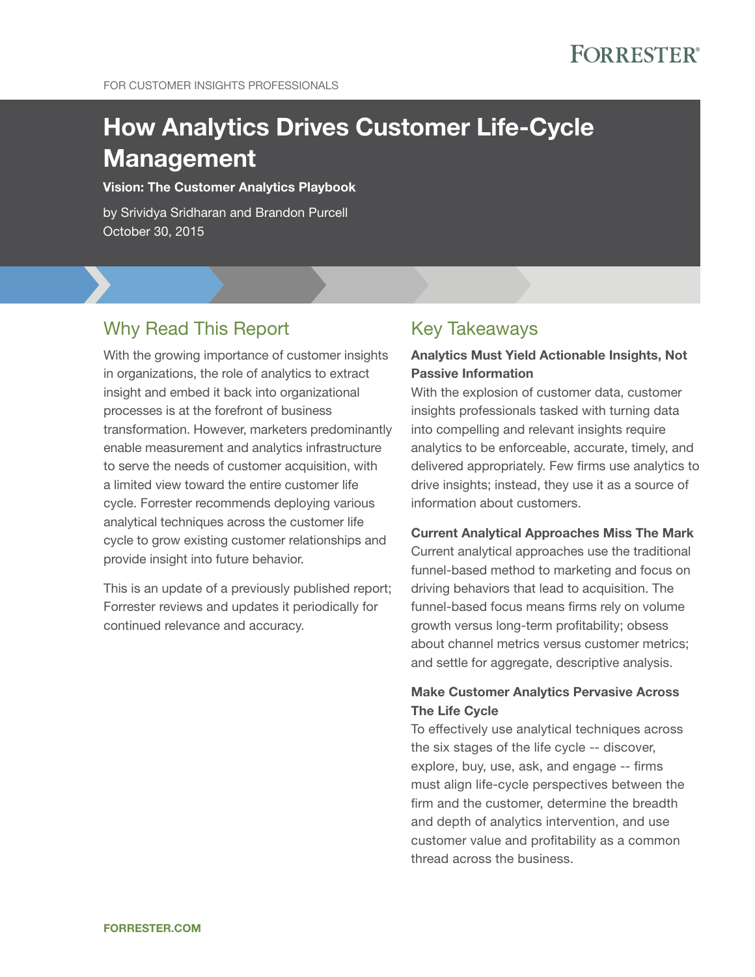# **FORRESTER®**

FOR CUSTOMER INSIGHTS PROFESSIONALS

# How Analytics Drives Customer Life-Cycle Management

#### Vision: The Customer Analytics Playbook

by Srividya Sridharan and Brandon Purcell October 30, 2015

### Why Read This Report

With the growing importance of customer insights in organizations, the role of analytics to extract insight and embed it back into organizational processes is at the forefront of business transformation. However, marketers predominantly enable measurement and analytics infrastructure to serve the needs of customer acquisition, with a limited view toward the entire customer life cycle. Forrester recommends deploying various analytical techniques across the customer life cycle to grow existing customer relationships and provide insight into future behavior.

This is an update of a previously published report; Forrester reviews and updates it periodically for continued relevance and accuracy.

### Key Takeaways

#### Analytics Must Yield Actionable Insights, Not Passive Information

With the explosion of customer data, customer insights professionals tasked with turning data into compelling and relevant insights require analytics to be enforceable, accurate, timely, and delivered appropriately. Few firms use analytics to drive insights; instead, they use it as a source of information about customers.

#### Current Analytical Approaches Miss The Mark

Current analytical approaches use the traditional funnel-based method to marketing and focus on driving behaviors that lead to acquisition. The funnel-based focus means firms rely on volume growth versus long-term profitability; obsess about channel metrics versus customer metrics; and settle for aggregate, descriptive analysis.

#### Make Customer Analytics Pervasive Across The Life Cycle

To effectively use analytical techniques across the six stages of the life cycle -- discover, explore, buy, use, ask, and engage -- firms must align life-cycle perspectives between the firm and the customer, determine the breadth and depth of analytics intervention, and use customer value and profitability as a common thread across the business.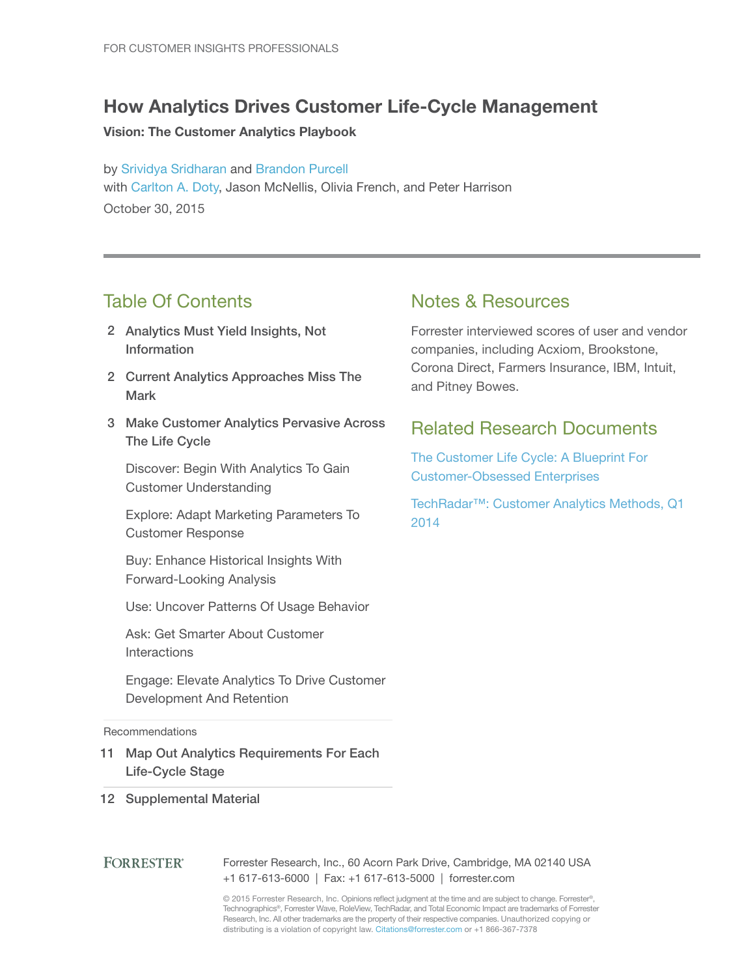### How Analytics Drives Customer Life-Cycle Management

#### Vision: The Customer Analytics Playbook

by [Srividya Sridharan](http://www.forrester.com/go?objectid=BIO2679) and [Brandon Purcell](http://www.forrester.com/go?objectid=BIO10005) with [Carlton A. Doty](http://www.forrester.com/go?objectid=BIO2662), Jason McNellis, Olivia French, and Peter Harrison October 30, 2015

### Table Of Contents

- 2 Analytics Must Yield Insights, Not Information
- 2 Current Analytics Approaches Miss The Mark
- 3 Make Customer Analytics Pervasive Across The Life Cycle

Discover: Begin With Analytics To Gain Customer Understanding

Explore: Adapt Marketing Parameters To Customer Response

Buy: Enhance Historical Insights With Forward-Looking Analysis

Use: Uncover Patterns Of Usage Behavior

Ask: Get Smarter About Customer Interactions

Engage: Elevate Analytics To Drive Customer Development And Retention

**Recommendations** 

11 Map Out Analytics Requirements For Each Life-Cycle Stage

#### 12 Supplemental Material

#### **FORRESTER®** Forrester Research, Inc., 60 Acorn Park Drive, Cambridge, MA 02140 USA +1 617-613-6000 | Fax: +1 617-613-5000 | forrester.com

© 2015 Forrester Research, Inc. Opinions reflect judgment at the time and are subject to change. Forrester®, Technographics®, Forrester Wave, RoleView, TechRadar, and Total Economic Impact are trademarks of Forrester Research, Inc. All other trademarks are the property of their respective companies. Unauthorized copying or distributing is a violation of copyright law. Citations@forrester.com or +1 866-367-7378

### Notes & Resources

Forrester interviewed scores of user and vendor companies, including Acxiom, Brookstone, Corona Direct, Farmers Insurance, IBM, Intuit, and Pitney Bowes.

### Related Research Documents

[The Customer Life Cycle: A Blueprint For](http://www.forrester.com/go?objectid=RES89261)  [Customer-Obsessed Enterprises](http://www.forrester.com/go?objectid=RES89261)

[TechRadar™: Customer Analytics Methods, Q1](http://www.forrester.com/go?objectid=RES106141)  [2014](http://www.forrester.com/go?objectid=RES106141)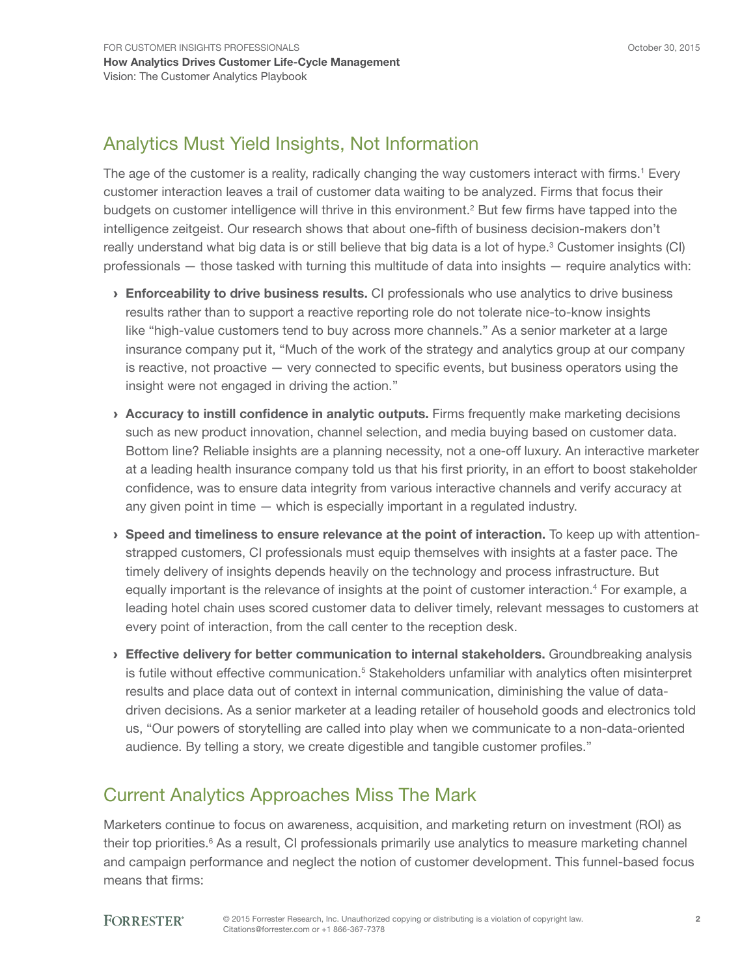### Analytics Must Yield Insights, Not Information

The age of the customer is a reality, radically changing the way customers interact with firms.<sup>1</sup> Every customer interaction leaves a trail of customer data waiting to be analyzed. Firms that focus their budgets on customer intelligence will thrive in this environment.<sup>2</sup> But few firms have tapped into the intelligence zeitgeist. Our research shows that about one-fifth of business decision-makers don't really understand what big data is or still believe that big data is a lot of hype.<sup>3</sup> Customer insights (CI) professionals — those tasked with turning this multitude of data into insights — require analytics with:

- **Enforceability to drive business results.** CI professionals who use analytics to drive business results rather than to support a reactive reporting role do not tolerate nice-to-know insights like "high-value customers tend to buy across more channels." As a senior marketer at a large insurance company put it, "Much of the work of the strategy and analytics group at our company is reactive, not proactive — very connected to specific events, but business operators using the insight were not engaged in driving the action."
- › Accuracy to instill confidence in analytic outputs. Firms frequently make marketing decisions such as new product innovation, channel selection, and media buying based on customer data. Bottom line? Reliable insights are a planning necessity, not a one-off luxury. An interactive marketer at a leading health insurance company told us that his first priority, in an effort to boost stakeholder confidence, was to ensure data integrity from various interactive channels and verify accuracy at any given point in time — which is especially important in a regulated industry.
- $\rightarrow$  Speed and timeliness to ensure relevance at the point of interaction. To keep up with attentionstrapped customers, CI professionals must equip themselves with insights at a faster pace. The timely delivery of insights depends heavily on the technology and process infrastructure. But equally important is the relevance of insights at the point of customer interaction.<sup>4</sup> For example, a leading hotel chain uses scored customer data to deliver timely, relevant messages to customers at every point of interaction, from the call center to the reception desk.
- **Effective delivery for better communication to internal stakeholders.** Groundbreaking analysis is futile without effective communication.<sup>5</sup> Stakeholders unfamiliar with analytics often misinterpret results and place data out of context in internal communication, diminishing the value of datadriven decisions. As a senior marketer at a leading retailer of household goods and electronics told us, "Our powers of storytelling are called into play when we communicate to a non-data-oriented audience. By telling a story, we create digestible and tangible customer profiles."

### Current Analytics Approaches Miss The Mark

Marketers continue to focus on awareness, acquisition, and marketing return on investment (ROI) as their top priorities.<sup>6</sup> As a result, CI professionals primarily use analytics to measure marketing channel and campaign performance and neglect the notion of customer development. This funnel-based focus means that firms: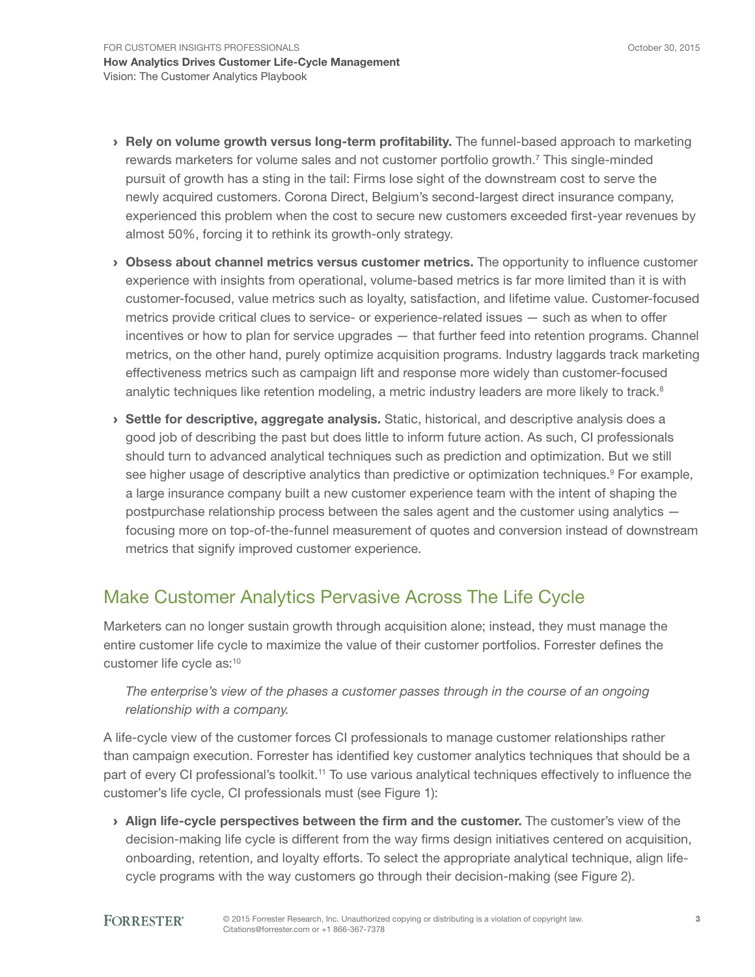- > Rely on volume growth versus long-term profitability. The funnel-based approach to marketing rewards marketers for volume sales and not customer portfolio growth.<sup>7</sup> This single-minded pursuit of growth has a sting in the tail: Firms lose sight of the downstream cost to serve the newly acquired customers. Corona Direct, Belgium's second-largest direct insurance company, experienced this problem when the cost to secure new customers exceeded first-year revenues by almost 50%, forcing it to rethink its growth-only strategy.
- › Obsess about channel metrics versus customer metrics. The opportunity to influence customer experience with insights from operational, volume-based metrics is far more limited than it is with customer-focused, value metrics such as loyalty, satisfaction, and lifetime value. Customer-focused metrics provide critical clues to service- or experience-related issues — such as when to offer incentives or how to plan for service upgrades — that further feed into retention programs. Channel metrics, on the other hand, purely optimize acquisition programs. Industry laggards track marketing effectiveness metrics such as campaign lift and response more widely than customer-focused analytic techniques like retention modeling, a metric industry leaders are more likely to track.<sup>8</sup>
- › Settle for descriptive, aggregate analysis. Static, historical, and descriptive analysis does a good job of describing the past but does little to inform future action. As such, CI professionals should turn to advanced analytical techniques such as prediction and optimization. But we still see higher usage of descriptive analytics than predictive or optimization techniques.<sup>9</sup> For example, a large insurance company built a new customer experience team with the intent of shaping the postpurchase relationship process between the sales agent and the customer using analytics focusing more on top-of-the-funnel measurement of quotes and conversion instead of downstream metrics that signify improved customer experience.

### Make Customer Analytics Pervasive Across The Life Cycle

Marketers can no longer sustain growth through acquisition alone; instead, they must manage the entire customer life cycle to maximize the value of their customer portfolios. Forrester defines the customer life cycle as:<sup>10</sup>

### *The enterprise's view of the phases a customer passes through in the course of an ongoing relationship with a company.*

A life-cycle view of the customer forces CI professionals to manage customer relationships rather than campaign execution. Forrester has identified key customer analytics techniques that should be a part of every CI professional's toolkit.11 To use various analytical techniques effectively to influence the customer's life cycle, CI professionals must (see Figure 1):

> Align life-cycle perspectives between the firm and the customer. The customer's view of the decision-making life cycle is different from the way firms design initiatives centered on acquisition, onboarding, retention, and loyalty efforts. To select the appropriate analytical technique, align lifecycle programs with the way customers go through their decision-making (see Figure 2).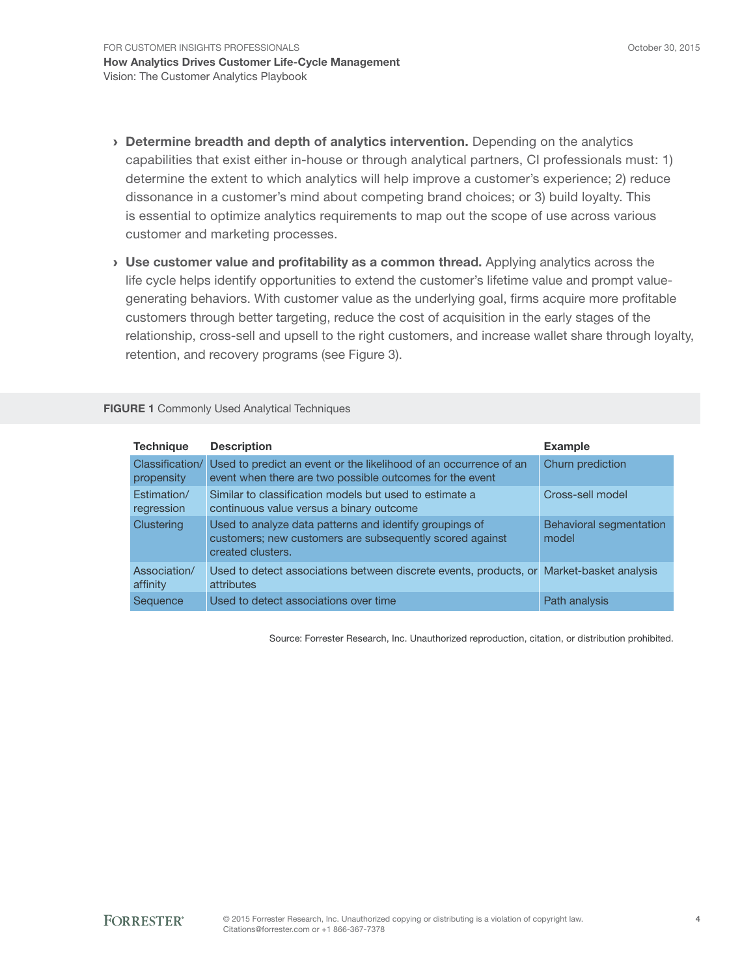- **> Determine breadth and depth of analytics intervention.** Depending on the analytics capabilities that exist either in-house or through analytical partners, CI professionals must: 1) determine the extent to which analytics will help improve a customer's experience; 2) reduce dissonance in a customer's mind about competing brand choices; or 3) build loyalty. This is essential to optimize analytics requirements to map out the scope of use across various customer and marketing processes.
- › Use customer value and profitability as a common thread. Applying analytics across the life cycle helps identify opportunities to extend the customer's lifetime value and prompt valuegenerating behaviors. With customer value as the underlying goal, firms acquire more profitable customers through better targeting, reduce the cost of acquisition in the early stages of the relationship, cross-sell and upsell to the right customers, and increase wallet share through loyalty, retention, and recovery programs (see Figure 3).

FIGURE 1 Commonly Used Analytical Techniques

| <b>Technique</b>              | <b>Description</b>                                                                                                                       | <b>Example</b>                          |
|-------------------------------|------------------------------------------------------------------------------------------------------------------------------------------|-----------------------------------------|
| Classification/<br>propensity | Used to predict an event or the likelihood of an occurrence of an<br>event when there are two possible outcomes for the event            | Churn prediction                        |
| Estimation/<br>regression     | Similar to classification models but used to estimate a<br>continuous value versus a binary outcome                                      | Cross-sell model                        |
| Clustering                    | Used to analyze data patterns and identify groupings of<br>customers; new customers are subsequently scored against<br>created clusters. | <b>Behavioral segmentation</b><br>model |
| Association/<br>affinity      | Used to detect associations between discrete events, products, or Market-basket analysis<br>attributes                                   |                                         |
| Sequence                      | Used to detect associations over time                                                                                                    | Path analysis                           |

Source: Forrester Research, Inc. Unauthorized reproduction, citation, or distribution prohibited.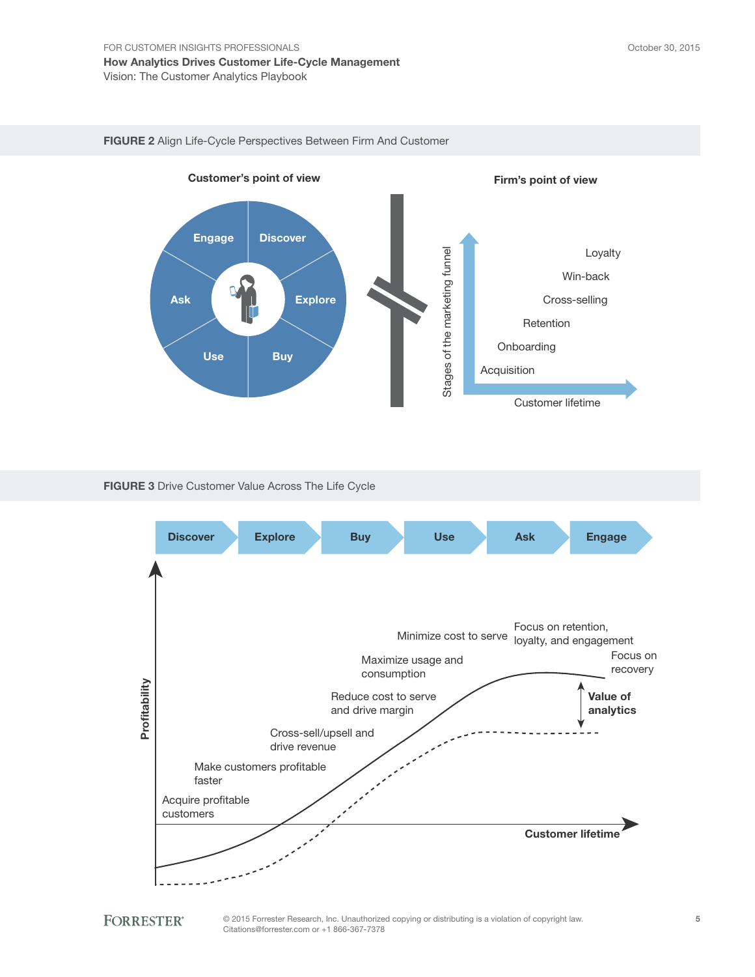



#### FIGURE 3 Drive Customer Value Across The Life Cycle





© 2015 Forrester Research, Inc. Unauthorized copying or distributing is a violation of copyright law. Citations@forrester.com or +1 866-367-7378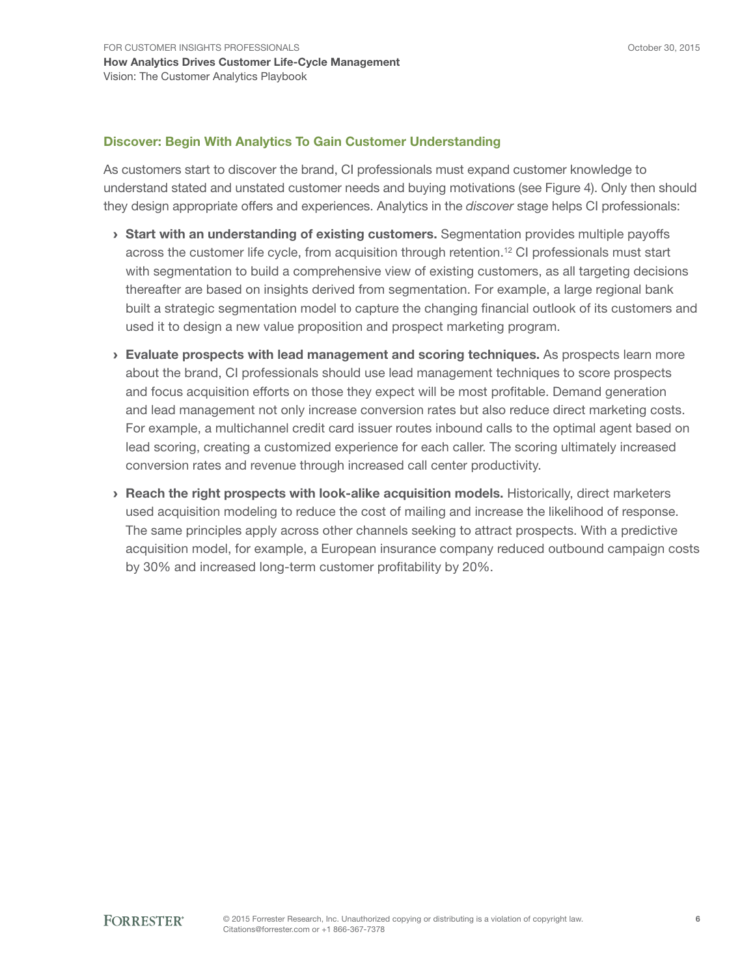#### Discover: Begin With Analytics To Gain Customer Understanding

As customers start to discover the brand, CI professionals must expand customer knowledge to understand stated and unstated customer needs and buying motivations (see Figure 4). Only then should they design appropriate offers and experiences. Analytics in the *discover* stage helps CI professionals:

- › Start with an understanding of existing customers. Segmentation provides multiple payoffs across the customer life cycle, from acquisition through retention.<sup>12</sup> CI professionals must start with segmentation to build a comprehensive view of existing customers, as all targeting decisions thereafter are based on insights derived from segmentation. For example, a large regional bank built a strategic segmentation model to capture the changing financial outlook of its customers and used it to design a new value proposition and prospect marketing program.
- › Evaluate prospects with lead management and scoring techniques. As prospects learn more about the brand, CI professionals should use lead management techniques to score prospects and focus acquisition efforts on those they expect will be most profitable. Demand generation and lead management not only increase conversion rates but also reduce direct marketing costs. For example, a multichannel credit card issuer routes inbound calls to the optimal agent based on lead scoring, creating a customized experience for each caller. The scoring ultimately increased conversion rates and revenue through increased call center productivity.
- › Reach the right prospects with look-alike acquisition models. Historically, direct marketers used acquisition modeling to reduce the cost of mailing and increase the likelihood of response. The same principles apply across other channels seeking to attract prospects. With a predictive acquisition model, for example, a European insurance company reduced outbound campaign costs by 30% and increased long-term customer profitability by 20%.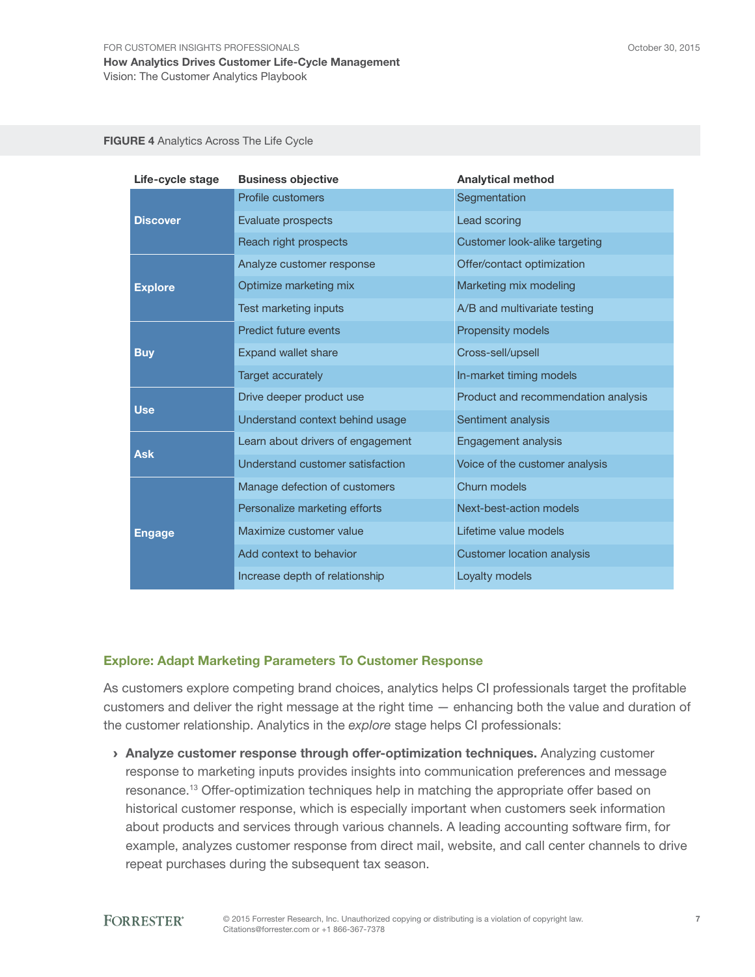FIGURE 4 Analytics Across The Life Cycle

| Life-cycle stage | <b>Business objective</b>         | <b>Analytical method</b>            |
|------------------|-----------------------------------|-------------------------------------|
|                  | Profile customers                 | Segmentation                        |
| <b>Discover</b>  | Evaluate prospects                | Lead scoring                        |
|                  | Reach right prospects             | Customer look-alike targeting       |
|                  | Analyze customer response         | Offer/contact optimization          |
| <b>Explore</b>   | Optimize marketing mix            | Marketing mix modeling              |
|                  | Test marketing inputs             | A/B and multivariate testing        |
|                  | Predict future events             | Propensity models                   |
| <b>Buy</b>       | <b>Expand wallet share</b>        | Cross-sell/upsell                   |
|                  | <b>Target accurately</b>          | In-market timing models             |
|                  | Drive deeper product use          | Product and recommendation analysis |
| <b>Use</b>       | Understand context behind usage   | Sentiment analysis                  |
|                  | Learn about drivers of engagement | Engagement analysis                 |
| <b>Ask</b>       | Understand customer satisfaction  | Voice of the customer analysis      |
|                  | Manage defection of customers     | Churn models                        |
|                  | Personalize marketing efforts     | Next-best-action models             |
| <b>Engage</b>    | Maximize customer value           | Lifetime value models               |
|                  | Add context to behavior           | <b>Customer location analysis</b>   |
|                  | Increase depth of relationship    | Loyalty models                      |

#### Explore: Adapt Marketing Parameters To Customer Response

As customers explore competing brand choices, analytics helps CI professionals target the profitable customers and deliver the right message at the right time — enhancing both the value and duration of the customer relationship. Analytics in the *explore* stage helps CI professionals:

› Analyze customer response through offer-optimization techniques. Analyzing customer response to marketing inputs provides insights into communication preferences and message resonance.13 Offer-optimization techniques help in matching the appropriate offer based on historical customer response, which is especially important when customers seek information about products and services through various channels. A leading accounting software firm, for example, analyzes customer response from direct mail, website, and call center channels to drive repeat purchases during the subsequent tax season.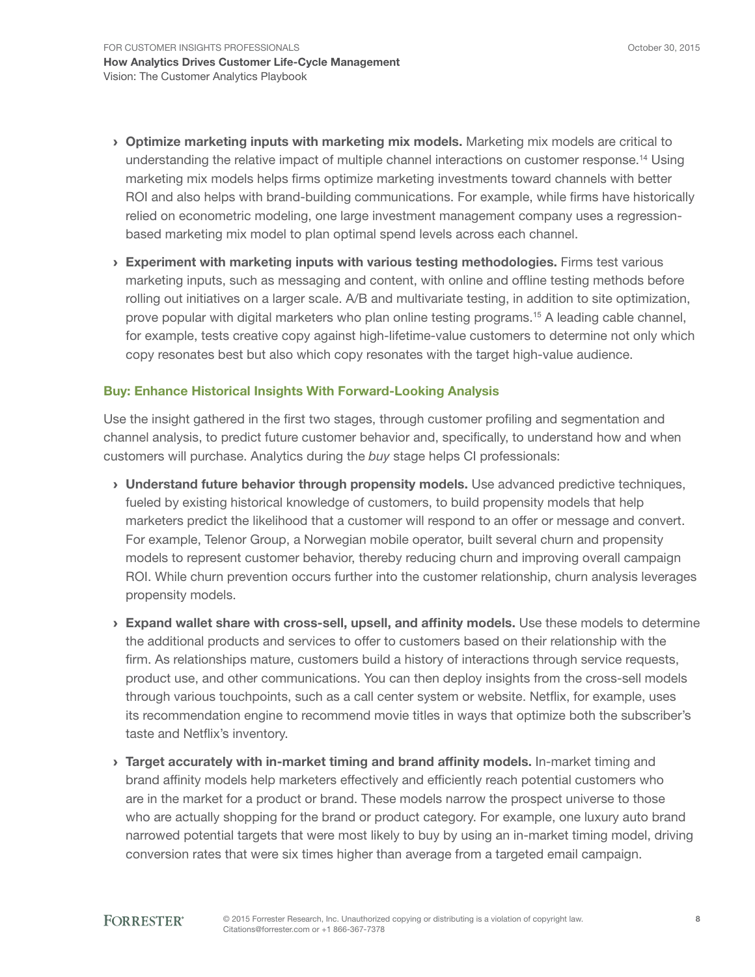- > Optimize marketing inputs with marketing mix models. Marketing mix models are critical to understanding the relative impact of multiple channel interactions on customer response.14 Using marketing mix models helps firms optimize marketing investments toward channels with better ROI and also helps with brand-building communications. For example, while firms have historically relied on econometric modeling, one large investment management company uses a regressionbased marketing mix model to plan optimal spend levels across each channel.
- $\rightarrow$  Experiment with marketing inputs with various testing methodologies. Firms test various marketing inputs, such as messaging and content, with online and offline testing methods before rolling out initiatives on a larger scale. A/B and multivariate testing, in addition to site optimization, prove popular with digital marketers who plan online testing programs.15 A leading cable channel, for example, tests creative copy against high-lifetime-value customers to determine not only which copy resonates best but also which copy resonates with the target high-value audience.

#### Buy: Enhance Historical Insights With Forward-Looking Analysis

Use the insight gathered in the first two stages, through customer profiling and segmentation and channel analysis, to predict future customer behavior and, specifically, to understand how and when customers will purchase. Analytics during the *buy* stage helps CI professionals:

- > Understand future behavior through propensity models. Use advanced predictive techniques, fueled by existing historical knowledge of customers, to build propensity models that help marketers predict the likelihood that a customer will respond to an offer or message and convert. For example, Telenor Group, a Norwegian mobile operator, built several churn and propensity models to represent customer behavior, thereby reducing churn and improving overall campaign ROI. While churn prevention occurs further into the customer relationship, churn analysis leverages propensity models.
- › Expand wallet share with cross-sell, upsell, and affinity models. Use these models to determine the additional products and services to offer to customers based on their relationship with the firm. As relationships mature, customers build a history of interactions through service requests, product use, and other communications. You can then deploy insights from the cross-sell models through various touchpoints, such as a call center system or website. Netflix, for example, uses its recommendation engine to recommend movie titles in ways that optimize both the subscriber's taste and Netflix's inventory.
- › Target accurately with in-market timing and brand affinity models. In-market timing and brand affinity models help marketers effectively and efficiently reach potential customers who are in the market for a product or brand. These models narrow the prospect universe to those who are actually shopping for the brand or product category. For example, one luxury auto brand narrowed potential targets that were most likely to buy by using an in-market timing model, driving conversion rates that were six times higher than average from a targeted email campaign.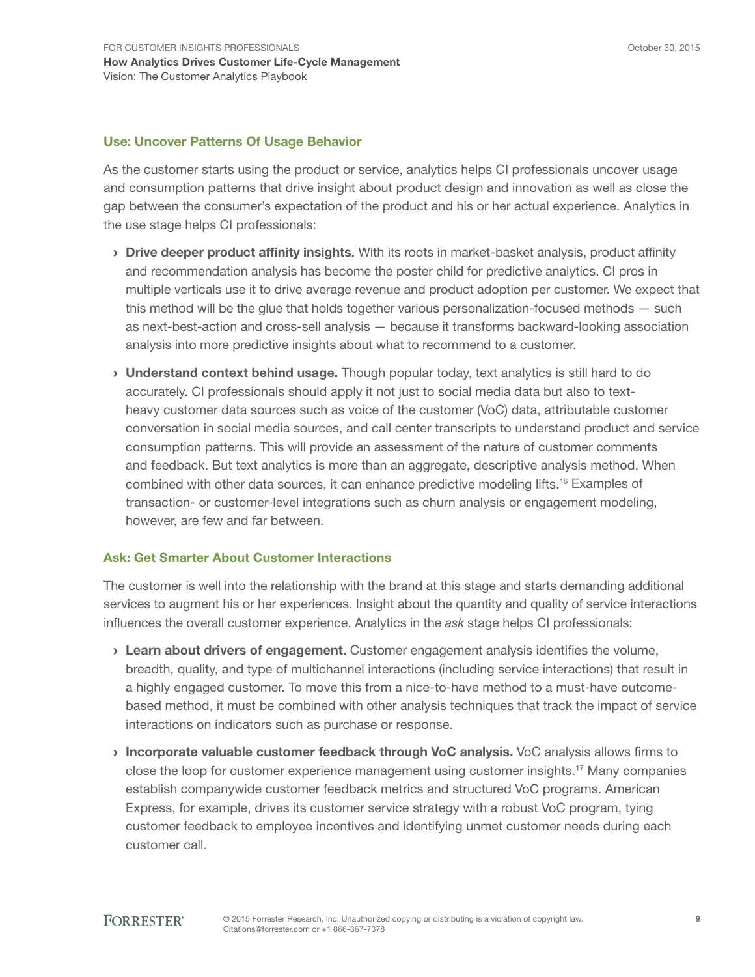#### Use: Uncover Patterns Of Usage Behavior

As the customer starts using the product or service, analytics helps CI professionals uncover usage and consumption patterns that drive insight about product design and innovation as well as close the gap between the consumer's expectation of the product and his or her actual experience. Analytics in the use stage helps CI professionals:

- > Drive deeper product affinity insights. With its roots in market-basket analysis, product affinity and recommendation analysis has become the poster child for predictive analytics. CI pros in multiple verticals use it to drive average revenue and product adoption per customer. We expect that this method will be the glue that holds together various personalization-focused methods — such as next-best-action and cross-sell analysis — because it transforms backward-looking association analysis into more predictive insights about what to recommend to a customer.
- > Understand context behind usage. Though popular today, text analytics is still hard to do accurately. CI professionals should apply it not just to social media data but also to textheavy customer data sources such as voice of the customer (VoC) data, attributable customer conversation in social media sources, and call center transcripts to understand product and service consumption patterns. This will provide an assessment of the nature of customer comments and feedback. But text analytics is more than an aggregate, descriptive analysis method. When combined with other data sources, it can enhance predictive modeling lifts.16 Examples of transaction- or customer-level integrations such as churn analysis or engagement modeling, however, are few and far between.

#### Ask: Get Smarter About Customer Interactions

The customer is well into the relationship with the brand at this stage and starts demanding additional services to augment his or her experiences. Insight about the quantity and quality of service interactions influences the overall customer experience. Analytics in the *ask* stage helps CI professionals:

- > Learn about drivers of engagement. Customer engagement analysis identifies the volume, breadth, quality, and type of multichannel interactions (including service interactions) that result in a highly engaged customer. To move this from a nice-to-have method to a must-have outcomebased method, it must be combined with other analysis techniques that track the impact of service interactions on indicators such as purchase or response.
- › Incorporate valuable customer feedback through VoC analysis. VoC analysis allows firms to close the loop for customer experience management using customer insights.17 Many companies establish companywide customer feedback metrics and structured VoC programs. American Express, for example, drives its customer service strategy with a robust VoC program, tying customer feedback to employee incentives and identifying unmet customer needs during each customer call.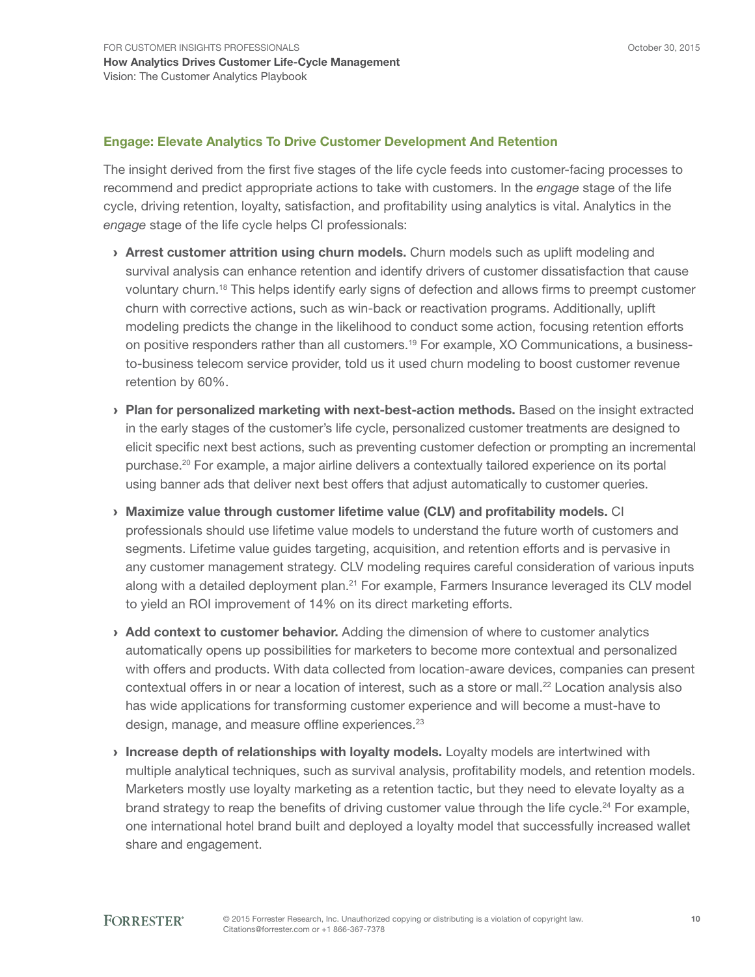#### Engage: Elevate Analytics To Drive Customer Development And Retention

The insight derived from the first five stages of the life cycle feeds into customer-facing processes to recommend and predict appropriate actions to take with customers. In the *engage* stage of the life cycle, driving retention, loyalty, satisfaction, and profitability using analytics is vital. Analytics in the *engage* stage of the life cycle helps CI professionals:

- > Arrest customer attrition using churn models. Churn models such as uplift modeling and survival analysis can enhance retention and identify drivers of customer dissatisfaction that cause voluntary churn.18 This helps identify early signs of defection and allows firms to preempt customer churn with corrective actions, such as win-back or reactivation programs. Additionally, uplift modeling predicts the change in the likelihood to conduct some action, focusing retention efforts on positive responders rather than all customers.<sup>19</sup> For example, XO Communications, a businessto-business telecom service provider, told us it used churn modeling to boost customer revenue retention by 60%.
- › Plan for personalized marketing with next-best-action methods. Based on the insight extracted in the early stages of the customer's life cycle, personalized customer treatments are designed to elicit specific next best actions, such as preventing customer defection or prompting an incremental purchase.20 For example, a major airline delivers a contextually tailored experience on its portal using banner ads that deliver next best offers that adjust automatically to customer queries.
- › Maximize value through customer lifetime value (CLV) and profitability models. CI professionals should use lifetime value models to understand the future worth of customers and segments. Lifetime value guides targeting, acquisition, and retention efforts and is pervasive in any customer management strategy. CLV modeling requires careful consideration of various inputs along with a detailed deployment plan.<sup>21</sup> For example, Farmers Insurance leveraged its CLV model to yield an ROI improvement of 14% on its direct marketing efforts.
- › Add context to customer behavior. Adding the dimension of where to customer analytics automatically opens up possibilities for marketers to become more contextual and personalized with offers and products. With data collected from location-aware devices, companies can present contextual offers in or near a location of interest, such as a store or mall.<sup>22</sup> Location analysis also has wide applications for transforming customer experience and will become a must-have to design, manage, and measure offline experiences.<sup>23</sup>
- Increase depth of relationships with loyalty models. Loyalty models are intertwined with multiple analytical techniques, such as survival analysis, profitability models, and retention models. Marketers mostly use loyalty marketing as a retention tactic, but they need to elevate loyalty as a brand strategy to reap the benefits of driving customer value through the life cycle.<sup>24</sup> For example, one international hotel brand built and deployed a loyalty model that successfully increased wallet share and engagement.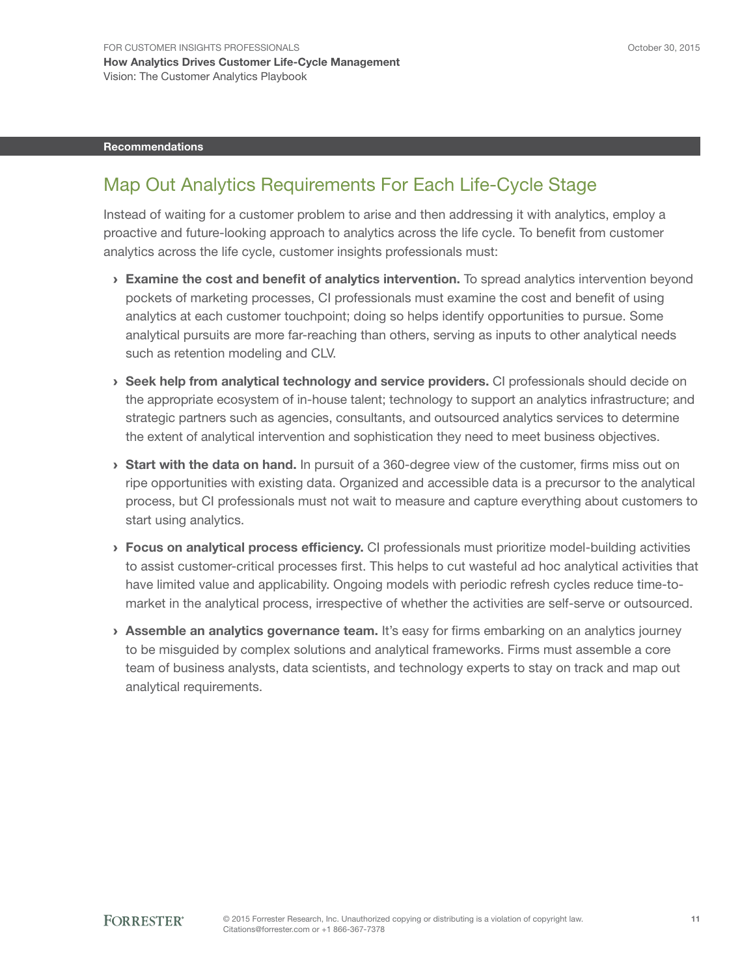#### Recommendations

### Map Out Analytics Requirements For Each Life-Cycle Stage

Instead of waiting for a customer problem to arise and then addressing it with analytics, employ a proactive and future-looking approach to analytics across the life cycle. To benefit from customer analytics across the life cycle, customer insights professionals must:

- $\rightarrow$  Examine the cost and benefit of analytics intervention. To spread analytics intervention beyond pockets of marketing processes, CI professionals must examine the cost and benefit of using analytics at each customer touchpoint; doing so helps identify opportunities to pursue. Some analytical pursuits are more far-reaching than others, serving as inputs to other analytical needs such as retention modeling and CLV.
- › Seek help from analytical technology and service providers. CI professionals should decide on the appropriate ecosystem of in-house talent; technology to support an analytics infrastructure; and strategic partners such as agencies, consultants, and outsourced analytics services to determine the extent of analytical intervention and sophistication they need to meet business objectives.
- **Start with the data on hand.** In pursuit of a 360-degree view of the customer, firms miss out on ripe opportunities with existing data. Organized and accessible data is a precursor to the analytical process, but CI professionals must not wait to measure and capture everything about customers to start using analytics.
- › Focus on analytical process efficiency. CI professionals must prioritize model-building activities to assist customer-critical processes first. This helps to cut wasteful ad hoc analytical activities that have limited value and applicability. Ongoing models with periodic refresh cycles reduce time-tomarket in the analytical process, irrespective of whether the activities are self-serve or outsourced.
- › Assemble an analytics governance team. It's easy for firms embarking on an analytics journey to be misguided by complex solutions and analytical frameworks. Firms must assemble a core team of business analysts, data scientists, and technology experts to stay on track and map out analytical requirements.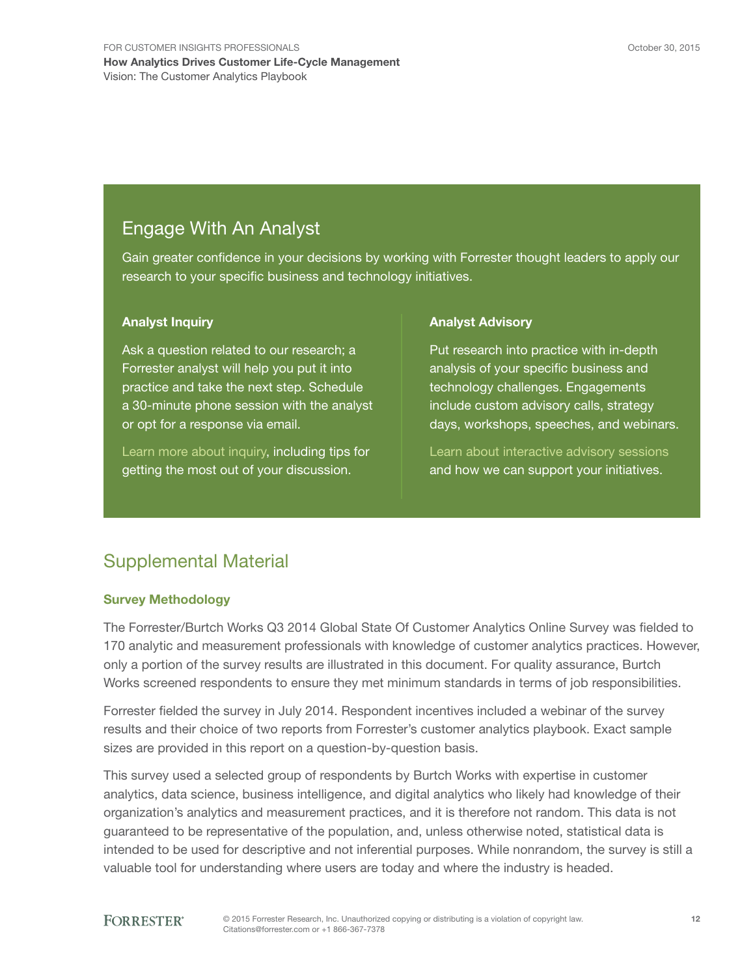### Engage With An Analyst

Gain greater confidence in your decisions by working with Forrester thought leaders to apply our research to your specific business and technology initiatives.

#### Analyst Inquiry

Ask a question related to our research; a Forrester analyst will help you put it into practice and take the next step. Schedule a 30-minute phone session with the analyst or opt for a response via email.

[Learn more about inquiry,](http://forr.com/1einFan) including tips for getting the most out of your discussion.

#### Analyst Advisory

Put research into practice with in-depth analysis of your specific business and technology challenges. Engagements include custom advisory calls, strategy days, workshops, speeches, and webinars.

[Learn about interactive advisory](http://www.forrester.com/Analyst-Advisory/-/E-MPL172) sessions and how we can support your initiatives.

## Supplemental Material

#### Survey Methodology

The Forrester/Burtch Works Q3 2014 Global State Of Customer Analytics Online Survey was fielded to 170 analytic and measurement professionals with knowledge of customer analytics practices. However, only a portion of the survey results are illustrated in this document. For quality assurance, Burtch Works screened respondents to ensure they met minimum standards in terms of job responsibilities.

Forrester fielded the survey in July 2014. Respondent incentives included a webinar of the survey results and their choice of two reports from Forrester's customer analytics playbook. Exact sample sizes are provided in this report on a question-by-question basis.

This survey used a selected group of respondents by Burtch Works with expertise in customer analytics, data science, business intelligence, and digital analytics who likely had knowledge of their organization's analytics and measurement practices, and it is therefore not random. This data is not guaranteed to be representative of the population, and, unless otherwise noted, statistical data is intended to be used for descriptive and not inferential purposes. While nonrandom, the survey is still a valuable tool for understanding where users are today and where the industry is headed.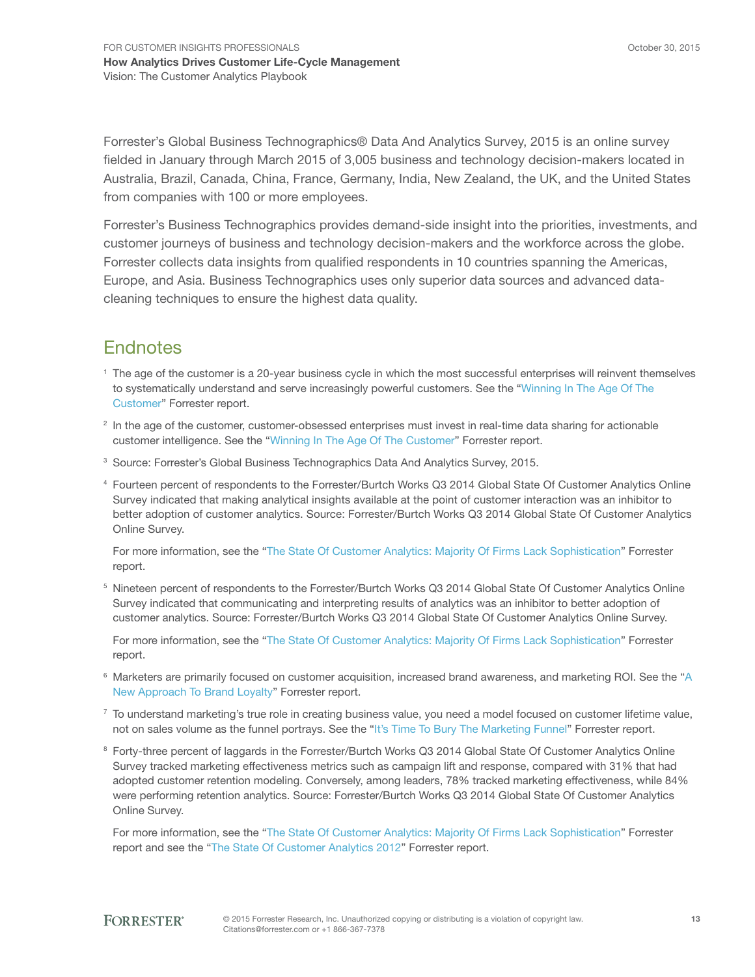Forrester's Global Business Technographics® Data And Analytics Survey, 2015 is an online survey fielded in January through March 2015 of 3,005 business and technology decision-makers located in Australia, Brazil, Canada, China, France, Germany, India, New Zealand, the UK, and the United States from companies with 100 or more employees.

Forrester's Business Technographics provides demand-side insight into the priorities, investments, and customer journeys of business and technology decision-makers and the workforce across the globe. Forrester collects data insights from qualified respondents in 10 countries spanning the Americas, Europe, and Asia. Business Technographics uses only superior data sources and advanced datacleaning techniques to ensure the highest data quality.

### **Endnotes**

- <sup>1</sup> The age of the customer is a 20-year business cycle in which the most successful enterprises will reinvent themselves to systematically understand and serve increasingly powerful customers. See the "[Winning In The Age Of The](http://www.forrester.com/go?objectid=RES119546)  [Customer](http://www.forrester.com/go?objectid=RES119546)" Forrester report.
- <sup>2</sup> In the age of the customer, customer-obsessed enterprises must invest in real-time data sharing for actionable customer intelligence. See the ["Winning In The Age Of The Customer"](http://www.forrester.com/go?objectid=RES119546) Forrester report.
- <sup>3</sup> Source: Forrester's Global Business Technographics Data And Analytics Survey, 2015.
- <sup>4</sup> Fourteen percent of respondents to the Forrester/Burtch Works Q3 2014 Global State Of Customer Analytics Online Survey indicated that making analytical insights available at the point of customer interaction was an inhibitor to better adoption of customer analytics. Source: Forrester/Burtch Works Q3 2014 Global State Of Customer Analytics Online Survey.

For more information, see the ["The State Of Customer Analytics: Majority Of Firms Lack Sophistication"](http://www.forrester.com/go?objectid=RES120117) Forrester report.

<sup>5</sup> Nineteen percent of respondents to the Forrester/Burtch Works Q3 2014 Global State Of Customer Analytics Online Survey indicated that communicating and interpreting results of analytics was an inhibitor to better adoption of customer analytics. Source: Forrester/Burtch Works Q3 2014 Global State Of Customer Analytics Online Survey.

For more information, see the ["The State Of Customer Analytics: Majority Of Firms Lack Sophistication"](http://www.forrester.com/go?objectid=RES120117) Forrester report.

- <sup>6</sup> Marketers are primarily focused on customer acquisition, increased brand awareness, and marketing ROI. See the "[A](http://www.forrester.com/go?objectid=RES59032)  [New Approach To Brand Loyalty](http://www.forrester.com/go?objectid=RES59032)" Forrester report.
- $7$  To understand marketing's true role in creating business value, you need a model focused on customer lifetime value, not on sales volume as the funnel portrays. See the "[It's Time To Bury The Marketing Funnel](http://www.forrester.com/go?objectid=RES57495)" Forrester report.
- <sup>8</sup> Forty-three percent of laggards in the Forrester/Burtch Works Q3 2014 Global State Of Customer Analytics Online Survey tracked marketing effectiveness metrics such as campaign lift and response, compared with 31% that had adopted customer retention modeling. Conversely, among leaders, 78% tracked marketing effectiveness, while 84% were performing retention analytics. Source: Forrester/Burtch Works Q3 2014 Global State Of Customer Analytics Online Survey.

For more information, see the ["The State Of Customer Analytics: Majority Of Firms Lack Sophistication"](http://www.forrester.com/go?objectid=RES120117) Forrester report and see the ["The State Of Customer Analytics 2012](http://www.forrester.com/go?objectid=RES61433)" Forrester report.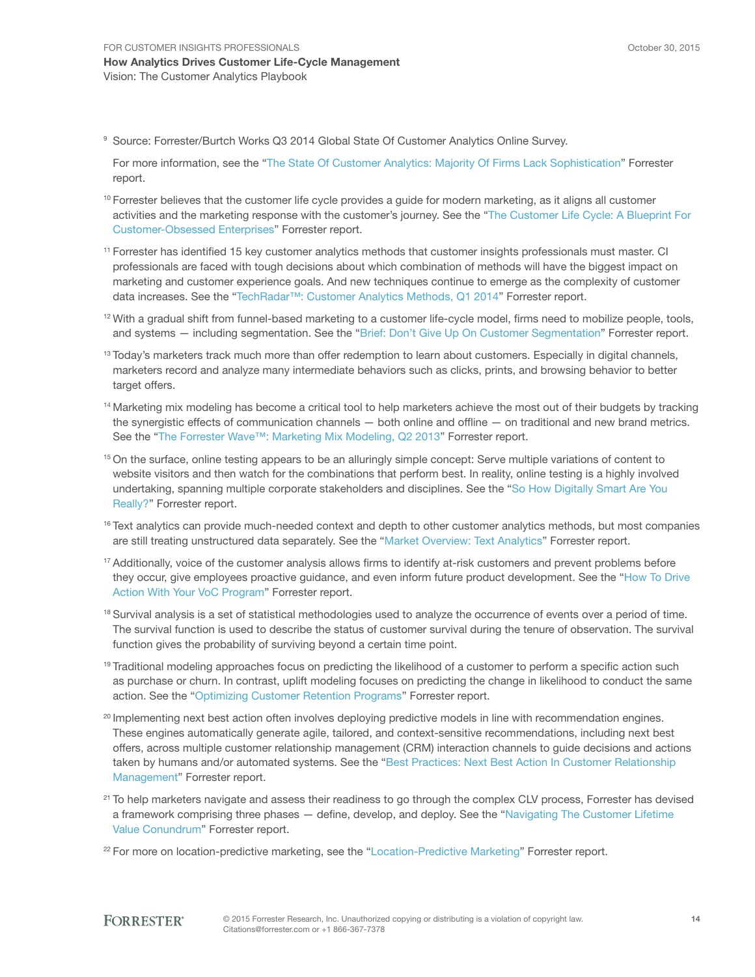<sup>9</sup> Source: Forrester/Burtch Works Q3 2014 Global State Of Customer Analytics Online Survey.

For more information, see the ["The State Of Customer Analytics: Majority Of Firms Lack Sophistication"](http://www.forrester.com/go?objectid=RES120117) Forrester report.

- $10$  Forrester believes that the customer life cycle provides a guide for modern marketing, as it aligns all customer activities and the marketing response with the customer's journey. See the ["The Customer Life Cycle: A Blueprint For](http://www.forrester.com/go?objectid=RES89261)  [Customer-Obsessed Enterprises"](http://www.forrester.com/go?objectid=RES89261) Forrester report.
- <sup>11</sup> Forrester has identified 15 key customer analytics methods that customer insights professionals must master. CI professionals are faced with tough decisions about which combination of methods will have the biggest impact on marketing and customer experience goals. And new techniques continue to emerge as the complexity of customer data increases. See the ["TechRadar™: Customer Analytics Methods, Q1 2014"](http://www.forrester.com/go?objectid=RES106141) Forrester report.
- $12$  With a gradual shift from funnel-based marketing to a customer life-cycle model, firms need to mobilize people, tools, and systems - including segmentation. See the ["Brief: Don't Give Up On Customer Segmentation](http://www.forrester.com/go?objectid=RES117206)" Forrester report.
- <sup>13</sup> Today's marketers track much more than offer redemption to learn about customers. Especially in digital channels, marketers record and analyze many intermediate behaviors such as clicks, prints, and browsing behavior to better target offers.
- <sup>14</sup> Marketing mix modeling has become a critical tool to help marketers achieve the most out of their budgets by tracking the synergistic effects of communication channels — both online and offline — on traditional and new brand metrics. See the "[The Forrester Wave™: Marketing Mix Modeling, Q2 2013](http://www.forrester.com/go?objectid=RES92921)" Forrester report.
- <sup>15</sup> On the surface, online testing appears to be an alluringly simple concept: Serve multiple variations of content to website visitors and then watch for the combinations that perform best. In reality, online testing is a highly involved undertaking, spanning multiple corporate stakeholders and disciplines. See the ["So How Digitally Smart Are You](http://www.forrester.com/go?objectid=RES76086)  [Really?"](http://www.forrester.com/go?objectid=RES76086) Forrester report.
- <sup>16</sup> Text analytics can provide much-needed context and depth to other customer analytics methods, but most companies are still treating unstructured data separately. See the "[Market Overview: Text Analytics](http://www.forrester.com/go?objectid=RES115631)" Forrester report.
- <sup>17</sup> Additionally, voice of the customer analysis allows firms to identify at-risk customers and prevent problems before they occur, give employees proactive guidance, and even inform future product development. See the ["How To Drive](http://www.forrester.com/go?objectid=RES117051)  [Action With Your VoC Program"](http://www.forrester.com/go?objectid=RES117051) Forrester report.
- <sup>18</sup> Survival analysis is a set of statistical methodologies used to analyze the occurrence of events over a period of time. The survival function is used to describe the status of customer survival during the tenure of observation. The survival function gives the probability of surviving beyond a certain time point.
- <sup>19</sup> Traditional modeling approaches focus on predicting the likelihood of a customer to perform a specific action such as purchase or churn. In contrast, uplift modeling focuses on predicting the change in likelihood to conduct the same action. See the ["Optimizing Customer Retention Programs](http://www.forrester.com/go?objectid=RES44400)" Forrester report.
- <sup>20</sup> Implementing next best action often involves deploying predictive models in line with recommendation engines. These engines automatically generate agile, tailored, and context-sensitive recommendations, including next best offers, across multiple customer relationship management (CRM) interaction channels to guide decisions and actions taken by humans and/or automated systems. See the ["Best Practices: Next Best Action In Customer Relationship](http://www.forrester.com/go?objectid=RES58514)  [Management](http://www.forrester.com/go?objectid=RES58514)" Forrester report.
- <sup>21</sup> To help marketers navigate and assess their readiness to go through the complex CLV process, Forrester has devised a framework comprising three phases — define, develop, and deploy. See the "[Navigating The Customer Lifetime](http://www.forrester.com/go?objectid=RES59245)  [Value Conundrum](http://www.forrester.com/go?objectid=RES59245)" Forrester report.
- <sup>22</sup> For more on location-predictive marketing, see the "[Location-Predictive Marketing"](http://www.forrester.com/go?objectid=RES91281) Forrester report.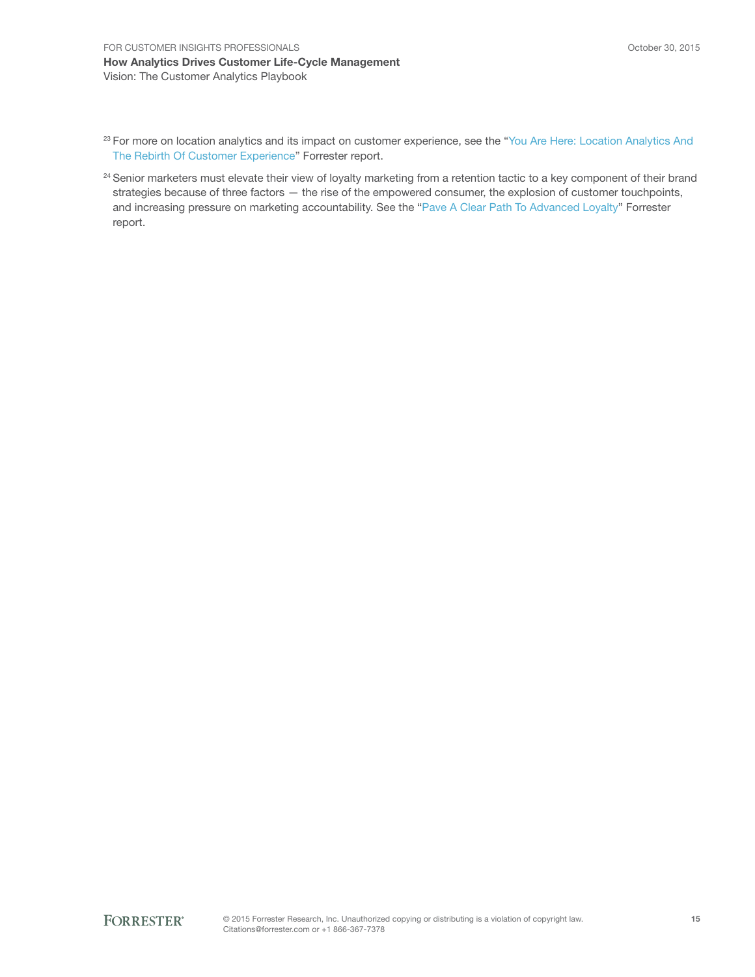- <sup>23</sup> For more on location analytics and its impact on customer experience, see the "You Are Here: Location Analytics And [The Rebirth Of Customer Experience"](http://www.forrester.com/go?objectid=RES103021) Forrester report.
- <sup>24</sup> Senior marketers must elevate their view of loyalty marketing from a retention tactic to a key component of their brand strategies because of three factors — the rise of the empowered consumer, the explosion of customer touchpoints, and increasing pressure on marketing accountability. See the ["Pave A Clear Path To Advanced Loyalty"](http://www.forrester.com/go?objectid=RES85061) Forrester report.